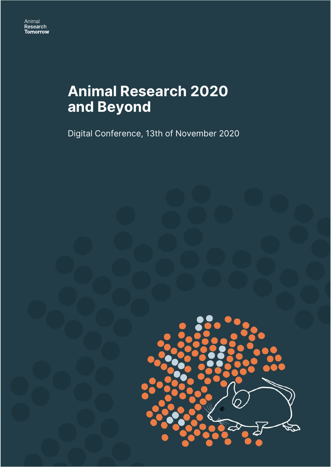# **Animal Research 2020 and Beyond**

Digital Conference, 13th of November 2020

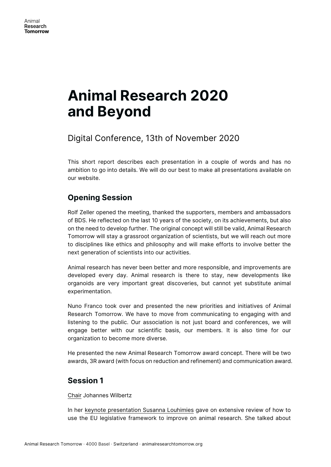# **Animal Research 2020 and Beyond**

Digital Conference, 13th of November 2020

This short report describes each presentation in a couple of words and has no ambition to go into details. We will do our best to make all presentations available on our website.

# **Opening Session**

Rolf Zeller opened the meeting, thanked the supporters, members and ambassadors of BDS. He reflected on the last 10 years of the society, on its achievements, but also on the need to develop further. The original concept will still be valid, Animal Research Tomorrow will stay a grassroot organization of scientists, but we will reach out more to disciplines like ethics and philosophy and will make efforts to involve better the next generation of scientists into our activities.

Animal research has never been better and more responsible, and improvements are developed every day. Animal research is there to stay, new developments like organoids are very important great discoveries, but cannot yet substitute animal experimentation.

Nuno Franco took over and presented the new priorities and initiatives of Animal Research Tomorrow. We have to move from communicating to engaging with and listening to the public. Our association is not just board and conferences, we will engage better with our scientific basis, our members. It is also time for our organization to become more diverse.

He presented the new Animal Research Tomorrow award concept. There will be two awards, 3R award (with focus on reduction and refinement) and communication award.

## **Session 1**

#### Chair Johannes Wilbertz

In her keynote presentation Susanna Louhimies gave on extensive review of how to use the EU legislative framework to improve on animal research. She talked about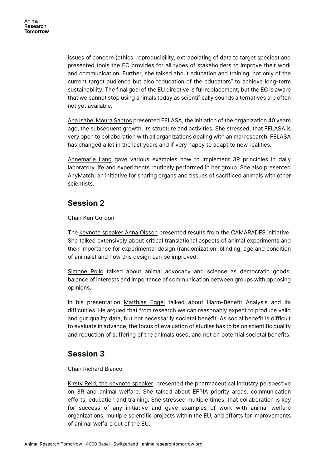issues of concern (ethics, reproducibility, extrapolating of data to target species) and presented tools the EC provides for all types of stakeholders to improve their work and communication. Further, she talked about education and training, not only of the current target audience but also "education of the educators" to achieve long-term sustainability. The final goal of the EU directive is full replacement, but the EC is aware that we cannot stop using animals today as scientifically sounds alternatives are often not yet available.

Ana Isabel Moura Santos presented FELASA, the initiation of the organization 40 years ago, the subsequent growth, its structure and activities. She stressed, that FELASA is very open to collaboration with all organizations dealing with animal research. FELASA has changed a lot in the last years and if very happy to adapt to new realities.

Annemarie Lang gave various examples how to implement 3R principles in daily laboratory life and experiments routinely performed in her group. She also presented AnyMatch, an initiative for sharing organs and tissues of sacrificed animals with other scientists.

## **Session 2**

### Chair Ken Gordon

The keynote speaker Anna Olsson presented results from the CAMARADES initiative. She talked extensively about critical translational aspects of animal experiments and their importance for experimental design (randomization, blinding, age and condition of animals) and how this design can be improved.

Simone Pollo talked about animal advocacy and science as democratic goods, balance of interests and importance of communication between groups with opposing opinions.

In his presentation Matthias Eggel talked about Harm-Benefit Analysis and its difficulties. He argued that from research we can reasonably expect to produce valid and gut quality data, but not necessarily societal benefit. As social benefit is difficult to evaluate in advance, the focus of evaluation of studies has to be on scientific quality and reduction of suffering of the animals used, and not on potential societal benefits.

## **Session 3**

### Chair Richard Bianco

Kirsty Reid, the keynote speaker, presented the pharmaceutical industry perspective on 3R and animal welfare. She talked about EFPIA priority areas, communication efforts, education and training. She stressed multiple times, that collaboration is key for success of any initiative and gave examples of work with animal welfare organizations, multiple scientific projects within the EU, and efforts for improvements of animal welfare out of the EU.